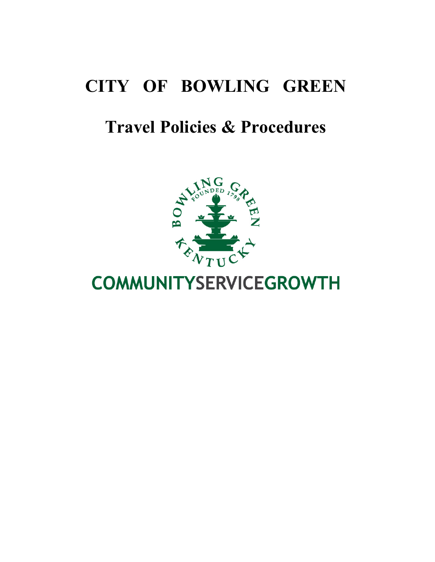# **CITY OF BOWLING GREEN**

# **Travel Policies & Procedures**



# **COMMUNITYSERVICEGROWTH**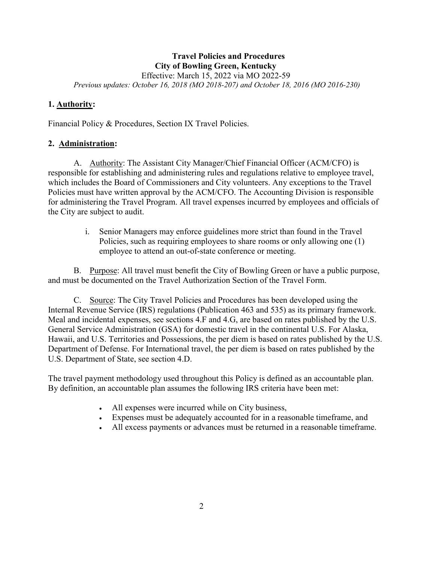### **Travel Policies and Procedures City of Bowling Green, Kentucky**

Effective: March 15, 2022 via MO 2022-59

*Previous updates: October 16, 2018 (MO 2018-207) and October 18, 2016 (MO 2016-230)* 

#### **1. Authority:**

Financial Policy & Procedures, Section IX Travel Policies.

### **2. Administration:**

A. Authority: The Assistant City Manager/Chief Financial Officer (ACM/CFO) is responsible for establishing and administering rules and regulations relative to employee travel, which includes the Board of Commissioners and City volunteers. Any exceptions to the Travel Policies must have written approval by the ACM/CFO. The Accounting Division is responsible for administering the Travel Program. All travel expenses incurred by employees and officials of the City are subject to audit.

> i. Senior Managers may enforce guidelines more strict than found in the Travel Policies, such as requiring employees to share rooms or only allowing one (1) employee to attend an out-of-state conference or meeting.

B. Purpose: All travel must benefit the City of Bowling Green or have a public purpose, and must be documented on the Travel Authorization Section of the Travel Form.

C. Source: The City Travel Policies and Procedures has been developed using the Internal Revenue Service (IRS) regulations (Publication 463 and 535) as its primary framework. Meal and incidental expenses, see sections 4.F and 4.G, are based on rates published by the U.S. General Service Administration (GSA) for domestic travel in the continental U.S. For Alaska, Hawaii, and U.S. Territories and Possessions, the per diem is based on rates published by the U.S. Department of Defense. For International travel, the per diem is based on rates published by the U.S. Department of State, see section 4.D.

The travel payment methodology used throughout this Policy is defined as an accountable plan. By definition, an accountable plan assumes the following IRS criteria have been met:

- All expenses were incurred while on City business,
- Expenses must be adequately accounted for in a reasonable timeframe, and
- All excess payments or advances must be returned in a reasonable timeframe.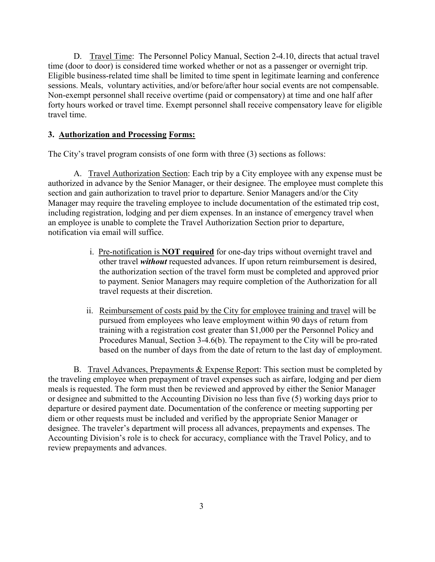D. Travel Time: The Personnel Policy Manual, Section 2-4.10, directs that actual travel time (door to door) is considered time worked whether or not as a passenger or overnight trip. Eligible business-related time shall be limited to time spent in legitimate learning and conference sessions. Meals, voluntary activities, and/or before/after hour social events are not compensable. Non-exempt personnel shall receive overtime (paid or compensatory) at time and one half after forty hours worked or travel time. Exempt personnel shall receive compensatory leave for eligible travel time.

## **3. Authorization and Processing Forms:**

The City's travel program consists of one form with three (3) sections as follows:

A. Travel Authorization Section: Each trip by a City employee with any expense must be authorized in advance by the Senior Manager, or their designee. The employee must complete this section and gain authorization to travel prior to departure. Senior Managers and/or the City Manager may require the traveling employee to include documentation of the estimated trip cost, including registration, lodging and per diem expenses. In an instance of emergency travel when an employee is unable to complete the Travel Authorization Section prior to departure, notification via email will suffice.

- i. Pre-notification is **NOT required** for one-day trips without overnight travel and other travel *without* requested advances. If upon return reimbursement is desired, the authorization section of the travel form must be completed and approved prior to payment. Senior Managers may require completion of the Authorization for all travel requests at their discretion.
- ii. Reimbursement of costs paid by the City for employee training and travel will be pursued from employees who leave employment within 90 days of return from training with a registration cost greater than \$1,000 per the Personnel Policy and Procedures Manual, Section 3-4.6(b). The repayment to the City will be pro-rated based on the number of days from the date of return to the last day of employment.

B. Travel Advances, Prepayments & Expense Report: This section must be completed by the traveling employee when prepayment of travel expenses such as airfare, lodging and per diem meals is requested. The form must then be reviewed and approved by either the Senior Manager or designee and submitted to the Accounting Division no less than five (5) working days prior to departure or desired payment date. Documentation of the conference or meeting supporting per diem or other requests must be included and verified by the appropriate Senior Manager or designee. The traveler's department will process all advances, prepayments and expenses. The Accounting Division's role is to check for accuracy, compliance with the Travel Policy, and to review prepayments and advances.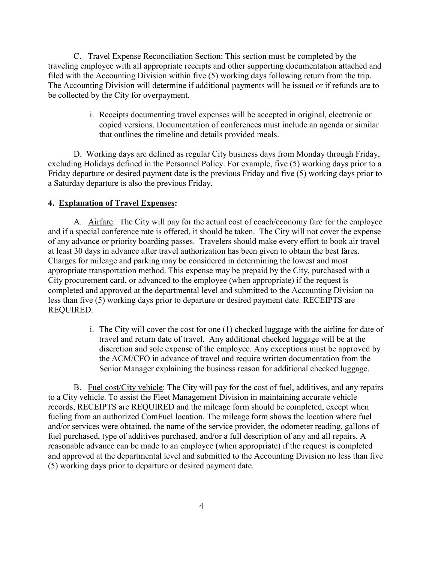C. Travel Expense Reconciliation Section: This section must be completed by the traveling employee with all appropriate receipts and other supporting documentation attached and filed with the Accounting Division within five (5) working days following return from the trip. The Accounting Division will determine if additional payments will be issued or if refunds are to be collected by the City for overpayment.

> i. Receipts documenting travel expenses will be accepted in original, electronic or copied versions. Documentation of conferences must include an agenda or similar that outlines the timeline and details provided meals.

D. Working days are defined as regular City business days from Monday through Friday, excluding Holidays defined in the Personnel Policy. For example, five (5) working days prior to a Friday departure or desired payment date is the previous Friday and five (5) working days prior to a Saturday departure is also the previous Friday.

#### **4. Explanation of Travel Expenses:**

A. Airfare: The City will pay for the actual cost of coach/economy fare for the employee and if a special conference rate is offered, it should be taken. The City will not cover the expense of any advance or priority boarding passes. Travelers should make every effort to book air travel at least 30 days in advance after travel authorization has been given to obtain the best fares. Charges for mileage and parking may be considered in determining the lowest and most appropriate transportation method. This expense may be prepaid by the City, purchased with a City procurement card, or advanced to the employee (when appropriate) if the request is completed and approved at the departmental level and submitted to the Accounting Division no less than five (5) working days prior to departure or desired payment date. RECEIPTS are REQUIRED.

> i. The City will cover the cost for one (1) checked luggage with the airline for date of travel and return date of travel. Any additional checked luggage will be at the discretion and sole expense of the employee. Any exceptions must be approved by the ACM/CFO in advance of travel and require written documentation from the Senior Manager explaining the business reason for additional checked luggage.

B. Fuel cost/City vehicle: The City will pay for the cost of fuel, additives, and any repairs to a City vehicle. To assist the Fleet Management Division in maintaining accurate vehicle records, RECEIPTS are REQUIRED and the mileage form should be completed, except when fueling from an authorized ComFuel location. The mileage form shows the location where fuel and/or services were obtained, the name of the service provider, the odometer reading, gallons of fuel purchased, type of additives purchased, and/or a full description of any and all repairs. A reasonable advance can be made to an employee (when appropriate) if the request is completed and approved at the departmental level and submitted to the Accounting Division no less than five (5) working days prior to departure or desired payment date.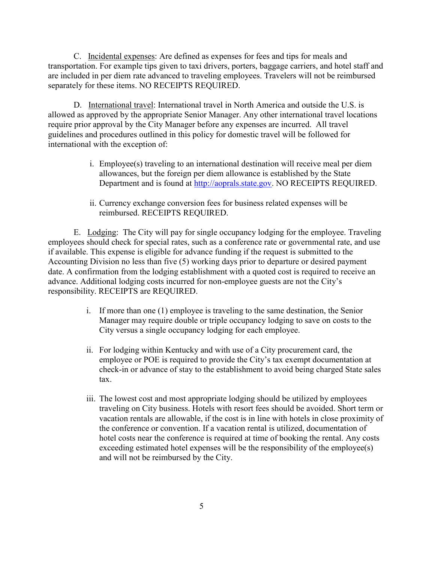C. Incidental expenses: Are defined as expenses for fees and tips for meals and transportation. For example tips given to taxi drivers, porters, baggage carriers, and hotel staff and are included in per diem rate advanced to traveling employees. Travelers will not be reimbursed separately for these items. NO RECEIPTS REQUIRED.

D. International travel: International travel in North America and outside the U.S. is allowed as approved by the appropriate Senior Manager. Any other international travel locations require prior approval by the City Manager before any expenses are incurred. All travel guidelines and procedures outlined in this policy for domestic travel will be followed for international with the exception of:

- i. Employee(s) traveling to an international destination will receive meal per diem allowances, but the foreign per diem allowance is established by the State Department and is found at [http://aoprals.state.gov.](http://aoprals.state.gov/) NO RECEIPTS REQUIRED.
- ii. Currency exchange conversion fees for business related expenses will be reimbursed. RECEIPTS REQUIRED.

E. Lodging: The City will pay for single occupancy lodging for the employee. Traveling employees should check for special rates, such as a conference rate or governmental rate, and use if available. This expense is eligible for advance funding if the request is submitted to the Accounting Division no less than five (5) working days prior to departure or desired payment date. A confirmation from the lodging establishment with a quoted cost is required to receive an advance. Additional lodging costs incurred for non-employee guests are not the City's responsibility. RECEIPTS are REQUIRED.

- i. If more than one (1) employee is traveling to the same destination, the Senior Manager may require double or triple occupancy lodging to save on costs to the City versus a single occupancy lodging for each employee.
- ii. For lodging within Kentucky and with use of a City procurement card, the employee or POE is required to provide the City's tax exempt documentation at check-in or advance of stay to the establishment to avoid being charged State sales tax.
- iii. The lowest cost and most appropriate lodging should be utilized by employees traveling on City business. Hotels with resort fees should be avoided. Short term or vacation rentals are allowable, if the cost is in line with hotels in close proximity of the conference or convention. If a vacation rental is utilized, documentation of hotel costs near the conference is required at time of booking the rental. Any costs exceeding estimated hotel expenses will be the responsibility of the employee(s) and will not be reimbursed by the City.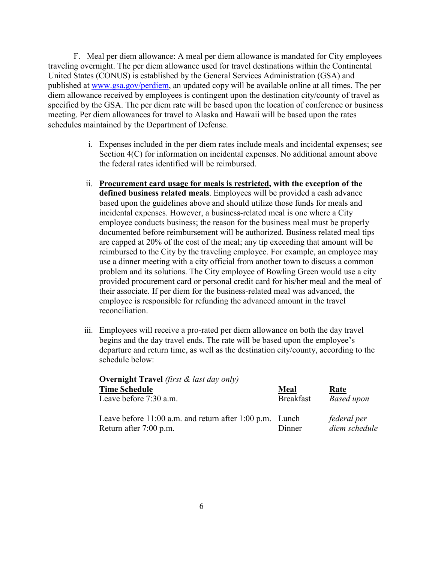F. Meal per diem allowance: A meal per diem allowance is mandated for City employees traveling overnight. The per diem allowance used for travel destinations within the Continental United States (CONUS) is established by the General Services Administration (GSA) and published at www.gsa.gov/perdiem, an updated copy will be available online at all times. The per diem allowance received by employees is contingent upon the destination city/county of travel as specified by the GSA. The per diem rate will be based upon the location of conference or business meeting. Per diem allowances for travel to Alaska and Hawaii will be based upon the rates schedules maintained by the Department of Defense.

- i. Expenses included in the per diem rates include meals and incidental expenses; see Section 4(C) for information on incidental expenses. No additional amount above the federal rates identified will be reimbursed.
- ii. **Procurement card usage for meals is restricted, with the exception of the defined business related meals**. Employees will be provided a cash advance based upon the guidelines above and should utilize those funds for meals and incidental expenses. However, a business-related meal is one where a City employee conducts business; the reason for the business meal must be properly documented before reimbursement will be authorized. Business related meal tips are capped at 20% of the cost of the meal; any tip exceeding that amount will be reimbursed to the City by the traveling employee. For example, an employee may use a dinner meeting with a city official from another town to discuss a common problem and its solutions. The City employee of Bowling Green would use a city provided procurement card or personal credit card for his/her meal and the meal of their associate. If per diem for the business-related meal was advanced, the employee is responsible for refunding the advanced amount in the travel reconciliation.
- iii. Employees will receive a pro-rated per diem allowance on both the day travel begins and the day travel ends. The rate will be based upon the employee's departure and return time, as well as the destination city/county, according to the schedule below:

| <b>Overnight Travel</b> (first $\&$ last day only)           |                  |                   |  |
|--------------------------------------------------------------|------------------|-------------------|--|
| <b>Time Schedule</b>                                         | Meal             | <u>Rate</u>       |  |
| Leave before 7:30 a.m.                                       | <b>Breakfast</b> | <b>Based upon</b> |  |
| Leave before $11:00$ a.m. and return after $1:00$ p.m. Lunch |                  | federal per       |  |
| Return after 7:00 p.m.                                       | Dinner           | diem schedule     |  |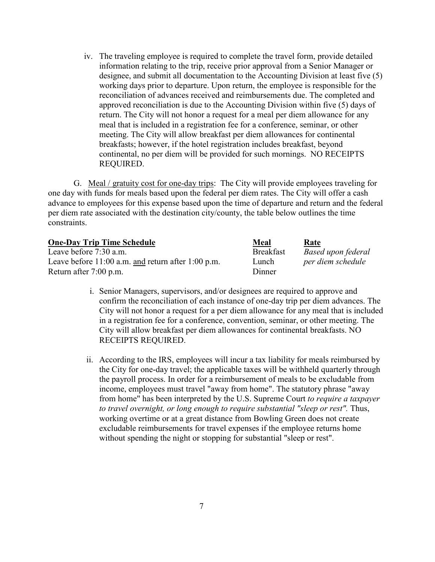iv. The traveling employee is required to complete the travel form, provide detailed information relating to the trip, receive prior approval from a Senior Manager or designee, and submit all documentation to the Accounting Division at least five (5) working days prior to departure. Upon return, the employee is responsible for the reconciliation of advances received and reimbursements due. The completed and approved reconciliation is due to the Accounting Division within five (5) days of return. The City will not honor a request for a meal per diem allowance for any meal that is included in a registration fee for a conference, seminar, or other meeting. The City will allow breakfast per diem allowances for continental breakfasts; however, if the hotel registration includes breakfast, beyond continental, no per diem will be provided for such mornings. NO RECEIPTS REQUIRED.

G. Meal / gratuity cost for one-day trips: The City will provide employees traveling for one day with funds for meals based upon the federal per diem rates. The City will offer a cash advance to employees for this expense based upon the time of departure and return and the federal per diem rate associated with the destination city/county, the table below outlines the time constraints.

| <b>One-Day Trip Time Schedule</b>                      | <b>Meal</b>      | Rate               |
|--------------------------------------------------------|------------------|--------------------|
| Leave before 7:30 a.m.                                 | <b>Breakfast</b> | Based upon federal |
| Leave before $11:00$ a.m. and return after $1:00$ p.m. | Lunch            | per diem schedule  |
| Return after 7:00 p.m.                                 | Dinner           |                    |

- i. Senior Managers, supervisors, and/or designees are required to approve and confirm the reconciliation of each instance of one-day trip per diem advances. The City will not honor a request for a per diem allowance for any meal that is included in a registration fee for a conference, convention, seminar, or other meeting. The City will allow breakfast per diem allowances for continental breakfasts. NO RECEIPTS REQUIRED.
- ii. According to the IRS, employees will incur a tax liability for meals reimbursed by the City for one-day travel; the applicable taxes will be withheld quarterly through the payroll process. In order for a reimbursement of meals to be excludable from income, employees must travel "away from home". The statutory phrase "away from home" has been interpreted by the U.S. Supreme Court *to require a taxpayer to travel overnight, or long enough to require substantial "sleep or rest".* Thus, working overtime or at a great distance from Bowling Green does not create excludable reimbursements for travel expenses if the employee returns home without spending the night or stopping for substantial "sleep or rest".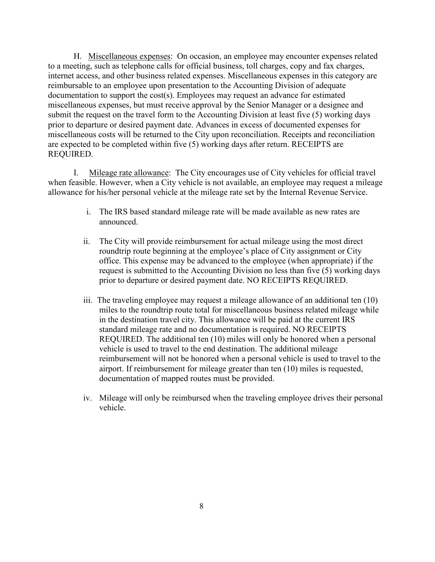H. Miscellaneous expenses: On occasion, an employee may encounter expenses related to a meeting, such as telephone calls for official business, toll charges, copy and fax charges, internet access, and other business related expenses. Miscellaneous expenses in this category are reimbursable to an employee upon presentation to the Accounting Division of adequate documentation to support the cost(s). Employees may request an advance for estimated miscellaneous expenses, but must receive approval by the Senior Manager or a designee and submit the request on the travel form to the Accounting Division at least five (5) working days prior to departure or desired payment date. Advances in excess of documented expenses for miscellaneous costs will be returned to the City upon reconciliation. Receipts and reconciliation are expected to be completed within five (5) working days after return. RECEIPTS are REQUIRED.

I. Mileage rate allowance: The City encourages use of City vehicles for official travel when feasible. However, when a City vehicle is not available, an employee may request a mileage allowance for his/her personal vehicle at the mileage rate set by the Internal Revenue Service.

- i. The IRS based standard mileage rate will be made available as new rates are announced.
- ii. The City will provide reimbursement for actual mileage using the most direct roundtrip route beginning at the employee's place of City assignment or City office. This expense may be advanced to the employee (when appropriate) if the request is submitted to the Accounting Division no less than five (5) working days prior to departure or desired payment date. NO RECEIPTS REQUIRED.
- iii. The traveling employee may request a mileage allowance of an additional ten (10) miles to the roundtrip route total for miscellaneous business related mileage while in the destination travel city. This allowance will be paid at the current IRS standard mileage rate and no documentation is required. NO RECEIPTS REQUIRED. The additional ten (10) miles will only be honored when a personal vehicle is used to travel to the end destination. The additional mileage reimbursement will not be honored when a personal vehicle is used to travel to the airport. If reimbursement for mileage greater than ten (10) miles is requested, documentation of mapped routes must be provided.
- iv. Mileage will only be reimbursed when the traveling employee drives their personal vehicle.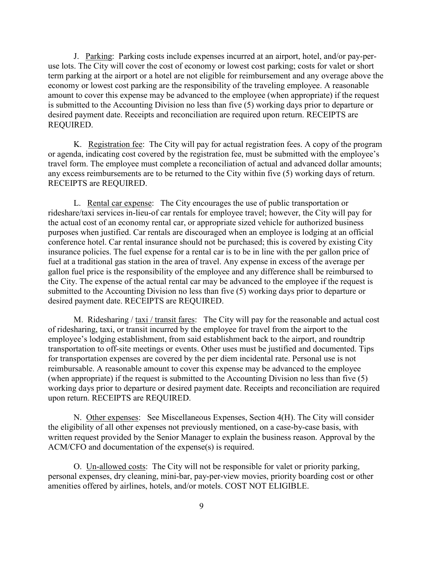J. Parking: Parking costs include expenses incurred at an airport, hotel, and/or pay-peruse lots. The City will cover the cost of economy or lowest cost parking; costs for valet or short term parking at the airport or a hotel are not eligible for reimbursement and any overage above the economy or lowest cost parking are the responsibility of the traveling employee. A reasonable amount to cover this expense may be advanced to the employee (when appropriate) if the request is submitted to the Accounting Division no less than five (5) working days prior to departure or desired payment date. Receipts and reconciliation are required upon return. RECEIPTS are REQUIRED.

K. Registration fee: The City will pay for actual registration fees. A copy of the program or agenda, indicating cost covered by the registration fee, must be submitted with the employee's travel form. The employee must complete a reconciliation of actual and advanced dollar amounts; any excess reimbursements are to be returned to the City within five (5) working days of return. RECEIPTS are REQUIRED.

L. Rental car expense: The City encourages the use of public transportation or rideshare/taxi services in-lieu-of car rentals for employee travel; however, the City will pay for the actual cost of an economy rental car, or appropriate sized vehicle for authorized business purposes when justified. Car rentals are discouraged when an employee is lodging at an official conference hotel. Car rental insurance should not be purchased; this is covered by existing City insurance policies. The fuel expense for a rental car is to be in line with the per gallon price of fuel at a traditional gas station in the area of travel. Any expense in excess of the average per gallon fuel price is the responsibility of the employee and any difference shall be reimbursed to the City. The expense of the actual rental car may be advanced to the employee if the request is submitted to the Accounting Division no less than five (5) working days prior to departure or desired payment date. RECEIPTS are REQUIRED.

M. Ridesharing / taxi / transit fares: The City will pay for the reasonable and actual cost of ridesharing, taxi, or transit incurred by the employee for travel from the airport to the employee's lodging establishment, from said establishment back to the airport, and roundtrip transportation to off-site meetings or events. Other uses must be justified and documented. Tips for transportation expenses are covered by the per diem incidental rate. Personal use is not reimbursable. A reasonable amount to cover this expense may be advanced to the employee (when appropriate) if the request is submitted to the Accounting Division no less than five (5) working days prior to departure or desired payment date. Receipts and reconciliation are required upon return. RECEIPTS are REQUIRED.

N. Other expenses: See Miscellaneous Expenses, Section 4(H). The City will consider the eligibility of all other expenses not previously mentioned, on a case-by-case basis, with written request provided by the Senior Manager to explain the business reason. Approval by the ACM/CFO and documentation of the expense(s) is required.

O. Un-allowed costs: The City will not be responsible for valet or priority parking, personal expenses, dry cleaning, mini-bar, pay-per-view movies, priority boarding cost or other amenities offered by airlines, hotels, and/or motels. COST NOT ELIGIBLE.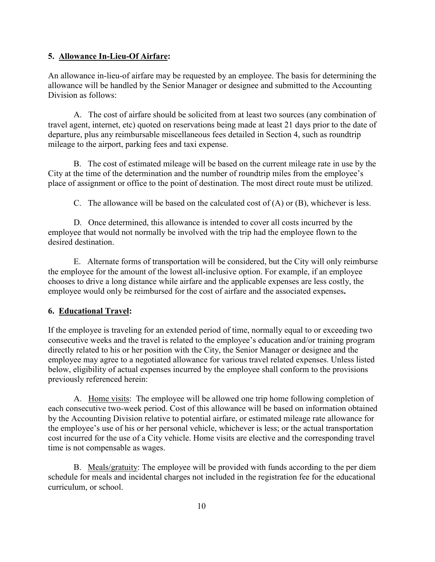#### **5. Allowance In-Lieu-Of Airfare:**

An allowance in-lieu-of airfare may be requested by an employee. The basis for determining the allowance will be handled by the Senior Manager or designee and submitted to the Accounting Division as follows:

A. The cost of airfare should be solicited from at least two sources (any combination of travel agent, internet, etc) quoted on reservations being made at least 21 days prior to the date of departure, plus any reimbursable miscellaneous fees detailed in Section 4, such as roundtrip mileage to the airport, parking fees and taxi expense.

B. The cost of estimated mileage will be based on the current mileage rate in use by the City at the time of the determination and the number of roundtrip miles from the employee's place of assignment or office to the point of destination. The most direct route must be utilized.

C. The allowance will be based on the calculated cost of  $(A)$  or  $(B)$ , whichever is less.

D. Once determined, this allowance is intended to cover all costs incurred by the employee that would not normally be involved with the trip had the employee flown to the desired destination.

E. Alternate forms of transportation will be considered, but the City will only reimburse the employee for the amount of the lowest all-inclusive option. For example, if an employee chooses to drive a long distance while airfare and the applicable expenses are less costly, the employee would only be reimbursed for the cost of airfare and the associated expenses**.** 

### **6. Educational Travel:**

If the employee is traveling for an extended period of time, normally equal to or exceeding two consecutive weeks and the travel is related to the employee's education and/or training program directly related to his or her position with the City, the Senior Manager or designee and the employee may agree to a negotiated allowance for various travel related expenses. Unless listed below, eligibility of actual expenses incurred by the employee shall conform to the provisions previously referenced herein:

A. Home visits: The employee will be allowed one trip home following completion of each consecutive two-week period. Cost of this allowance will be based on information obtained by the Accounting Division relative to potential airfare, or estimated mileage rate allowance for the employee's use of his or her personal vehicle, whichever is less; or the actual transportation cost incurred for the use of a City vehicle. Home visits are elective and the corresponding travel time is not compensable as wages.

B. Meals/gratuity: The employee will be provided with funds according to the per diem schedule for meals and incidental charges not included in the registration fee for the educational curriculum, or school.